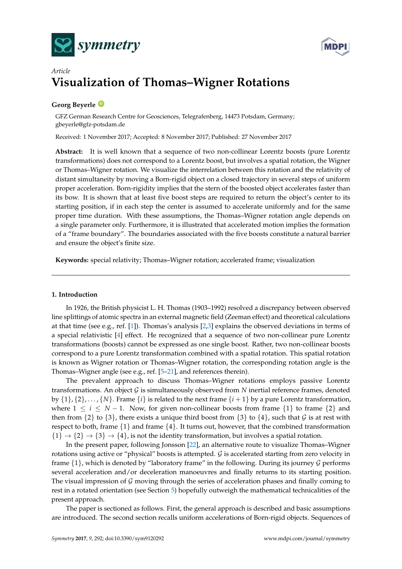



# *Article* **Visualization of Thomas–Wigner Rotations**

## **Georg Beyerle [ID](https://orcid.org/0000-0003-1215-2418)**

GFZ German Research Centre for Geosciences, Telegrafenberg, 14473 Potsdam, Germany; gbeyerle@gfz-potsdam.de

Received: 1 November 2017; Accepted: 8 November 2017; Published: 27 November 2017

**Abstract:** It is well known that a sequence of two non-collinear Lorentz boosts (pure Lorentz transformations) does not correspond to a Lorentz boost, but involves a spatial rotation, the Wigner or Thomas–Wigner rotation. We visualize the interrelation between this rotation and the relativity of distant simultaneity by moving a Born-rigid object on a closed trajectory in several steps of uniform proper acceleration. Born-rigidity implies that the stern of the boosted object accelerates faster than its bow. It is shown that at least five boost steps are required to return the object's center to its starting position, if in each step the center is assumed to accelerate uniformly and for the same proper time duration. With these assumptions, the Thomas–Wigner rotation angle depends on a single parameter only. Furthermore, it is illustrated that accelerated motion implies the formation of a "frame boundary". The boundaries associated with the five boosts constitute a natural barrier and ensure the object's finite size.

**Keywords:** special relativity; Thomas–Wigner rotation; accelerated frame; visualization

## **1. Introduction**

In 1926, the British physicist L. H. Thomas (1903–1992) resolved a discrepancy between observed line splittings of atomic spectra in an external magnetic field (Zeeman effect) and theoretical calculations at that time (see e.g., ref. [\[1\]](#page-17-0)). Thomas's analysis [\[2,](#page-17-1)[3\]](#page-17-2) explains the observed deviations in terms of a special relativistic [\[4\]](#page-17-3) effect. He recognized that a sequence of two non-collinear pure Lorentz transformations (boosts) cannot be expressed as one single boost. Rather, two non-collinear boosts correspond to a pure Lorentz transformation combined with a spatial rotation. This spatial rotation is known as Wigner rotation or Thomas–Wigner rotation, the corresponding rotation angle is the Thomas–Wigner angle (see e.g., ref. [\[5–](#page-17-4)[21\]](#page-17-5), and references therein).

The prevalent approach to discuss Thomas–Wigner rotations employs passive Lorentz transformations. An object G is simultaneously observed from *N* inertial reference frames, denoted by  $\{1\}$ ,  $\{2\}$ , ...,  $\{N\}$ . Frame  $\{i\}$  is related to the next frame  $\{i+1\}$  by a pure Lorentz transformation, where  $1 \le i \le N-1$ . Now, for given non-collinear boosts from frame  $\{1\}$  to frame  $\{2\}$  and then from  $\{2\}$  to  $\{3\}$ , there exists a unique third boost from  $\{3\}$  to  $\{4\}$ , such that G is at rest with respect to both, frame  $\{1\}$  and frame  $\{4\}$ . It turns out, however, that the combined transformation  $\{1\} \rightarrow \{2\} \rightarrow \{3\} \rightarrow \{4\}$ , is not the identity transformation, but involves a spatial rotation.

In the present paper, following Jonsson [\[22\]](#page-17-6), an alternative route to visualize Thomas–Wigner rotations using active or "physical" boosts is attempted.  $G$  is accelerated starting from zero velocity in frame  $\{1\}$ , which is denoted by "laboratory frame" in the following. During its journey  $\mathcal G$  performs several acceleration and/or deceleration manoeuvres and finally returns to its starting position. The visual impression of  $\mathcal G$  moving through the series of acceleration phases and finally coming to rest in a rotated orientation (see Section [5\)](#page-9-0) hopefully outweigh the mathematical technicalities of the present approach.

The paper is sectioned as follows. First, the general approach is described and basic assumptions are introduced. The second section recalls uniform accelerations of Born-rigid objects. Sequences of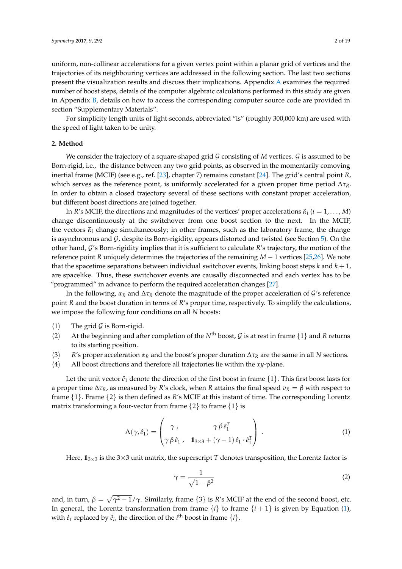uniform, non-collinear accelerations for a given vertex point within a planar grid of vertices and the trajectories of its neighbouring vertices are addressed in the following section. The last two sections present the visualization results and discuss their implications. Appendix [A](#page-14-0) examines the required number of boost steps, details of the computer algebraic calculations performed in this study are given in Appendix [B,](#page-15-0) details on how to access the corresponding computer source code are provided in section "Supplementary Materials".

For simplicity length units of light-seconds, abbreviated "ls" (roughly 300,000 km) are used with the speed of light taken to be unity.

## <span id="page-1-5"></span>**2. Method**

We consider the trajectory of a square-shaped grid  $\mathcal G$  consisting of  $M$  vertices.  $\mathcal G$  is assumed to be Born-rigid, i.e., the distance between any two grid points, as observed in the momentarily comoving inertial frame (MCIF) (see e.g., ref. [\[23\]](#page-17-7), chapter 7) remains constant [\[24\]](#page-17-8). The grid's central point *R*, which serves as the reference point, is uniformly accelerated for a given proper time period ∆*τR*. In order to obtain a closed trajectory several of these sections with constant proper acceleration, but different boost directions are joined together.

In *R*'s MCIF, the directions and magnitudes of the vertices' proper accelerations  $\vec{a}_i$  ( $i = 1, ..., M$ ) change discontinuously at the switchover from one boost section to the next. In the MCIF, the vectors  $\vec{a}_i$  change simultaneously; in other frames, such as the laboratory frame, the change is asynchronous and  $G$ , despite its Born-rigidity, appears distorted and twisted (see Section [5\)](#page-9-0). On the other hand, G's Born-rigidity implies that it is sufficient to calculate *R*'s trajectory, the motion of the reference point *R* uniquely determines the trajectories of the remaining *M* − 1 vertices [\[25,](#page-17-9)[26\]](#page-17-10). We note that the spacetime separations between individual switchover events, linking boost steps *k* and *k* + 1, are spacelike. Thus, these switchover events are causally disconnected and each vertex has to be "programmed" in advance to perform the required acceleration changes [\[27\]](#page-17-11).

In the following,  $\alpha_R$  and  $\Delta \tau_R$  denote the magnitude of the proper acceleration of  $\mathcal{G}'$ s reference point *R* and the boost duration in terms of *R*'s proper time, respectively. To simplify the calculations, we impose the following four conditions on all *N* boosts:

- <span id="page-1-4"></span><span id="page-1-2"></span> $\langle 1 \rangle$  The grid G is Born-rigid.
- $\langle 2 \rangle$  At the beginning and after completion of the *N*<sup>th</sup> boost, *G* is at rest in frame {1} and *R* returns to its starting position.
- <span id="page-1-3"></span><span id="page-1-1"></span> $\langle 3 \rangle$  *R*'s proper acceleration  $\alpha_R$  and the boost's proper duration  $\Delta \tau_R$  are the same in all *N* sections.
- $\langle 4 \rangle$  All boost directions and therefore all trajectories lie within the *xy*-plane.

Let the unit vector  $\hat{e}_1$  denote the direction of the first boost in frame  $\{1\}$ . This first boost lasts for a proper time  $\Delta \tau_R$ , as measured by *R*'s clock, when *R* attains the final speed  $v_R = \beta$  with respect to frame {1}. Frame {2} is then defined as *R*'s MCIF at this instant of time. The corresponding Lorentz matrix transforming a four-vector from frame  $\{2\}$  to frame  $\{1\}$  is

<span id="page-1-0"></span>
$$
\Lambda(\gamma, \hat{e}_1) = \begin{pmatrix} \gamma, & \gamma \beta \hat{e}_1^T \\ \gamma \beta \hat{e}_1, & \mathbb{1}_{3 \times 3} + (\gamma - 1) \hat{e}_1 \cdot \hat{e}_1^T \end{pmatrix} . \tag{1}
$$

Here,  $1_{3\times 3}$  is the 3 $\times$ 3 unit matrix, the superscript *T* denotes transposition, the Lorentz factor is

$$
\gamma = \frac{1}{\sqrt{1 - \beta^2}}\tag{2}
$$

and, in turn,  $\beta = \sqrt{\gamma^2 - 1}/\gamma$ . Similarly, frame  $\{3\}$  is *R*'s MCIF at the end of the second boost, etc. In general, the Lorentz transformation from frame  $\{i\}$  to frame  $\{i+1\}$  is given by Equation [\(1\)](#page-1-0), with  $\hat{e}_1$  replaced by  $\hat{e}_i$ , the direction of the *i*<sup>th</sup> boost in frame  $\{i\}$ .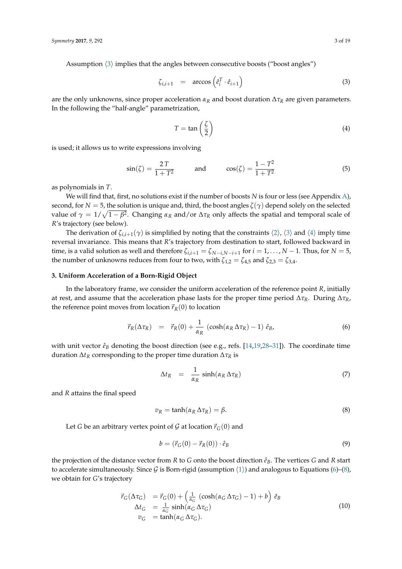Assumption  $\langle 3 \rangle$  $\langle 3 \rangle$  $\langle 3 \rangle$  implies that the angles between consecutive boosts ("boost angles")

$$
\zeta_{i,i+1} = \arccos\left(\hat{e}_i^T \cdot \hat{e}_{i+1}\right) \tag{3}
$$

are the only unknowns, since proper acceleration *α<sup>R</sup>* and boost duration ∆*τ<sup>R</sup>* are given parameters. In the following the "half-angle" parametrization,

$$
T = \tan\left(\frac{\zeta}{2}\right) \tag{4}
$$

is used; it allows us to write expressions involving

<span id="page-2-5"></span>
$$
\sin(\zeta) = \frac{2T}{1+T^2}
$$
 and  $\cos(\zeta) = \frac{1-T^2}{1+T^2}$  (5)

as polynomials in *T*.

We will find that, first, no solutions exist if the number of boosts *N* is four or less (see Appendix [A\)](#page-14-0), second, for  $N = 5$ , the solution is unique and, third, the boost angles  $\zeta(\gamma)$  depend solely on the selected value of  $\gamma = 1/\sqrt{1-\beta^2}$ . Changing *α*<sub>*R*</sub> and/or  $\Delta \tau_R$  only affects the spatial and temporal scale of *R*'s trajectory (see below).

The derivation of  $\zeta_{i,i+1}(\gamma)$  is simplified by noting that the constraints  $\langle 2 \rangle$  $\langle 2 \rangle$  $\langle 2 \rangle$ ,  $\langle 3 \rangle$  $\langle 3 \rangle$  $\langle 3 \rangle$  and  $\langle 4 \rangle$  $\langle 4 \rangle$  $\langle 4 \rangle$  imply time reversal invariance. This means that *R*'s trajectory from destination to start, followed backward in time, is a valid solution as well and therefore  $\zeta_{i,i+1} = \zeta_{N-i,N-i+1}$  for  $i = 1, ..., N-1$ . Thus, for  $N = 5$ , the number of unknowns reduces from four to two, with  $\zeta_{1,2} = \zeta_{4,5}$  and  $\zeta_{2,3} = \zeta_{3,4}$ .

## <span id="page-2-4"></span>**3. Uniform Acceleration of a Born-Rigid Object**

In the laboratory frame, we consider the uniform acceleration of the reference point *R*, initially at rest, and assume that the acceleration phase lasts for the proper time period ∆*τR*. During ∆*τR*, the reference point moves from location  $\vec{r}_R(0)$  to location

<span id="page-2-0"></span>
$$
\vec{r}_R(\Delta \tau_R) = \vec{r}_R(0) + \frac{1}{\alpha_R} (\cosh(\alpha_R \Delta \tau_R) - 1) \hat{e}_B,
$$
\n(6)

with unit vector  $\hat{e}_B$  denoting the boost direction (see e.g., refs. [\[14](#page-17-12)[,19](#page-17-13)[,28–](#page-18-0)[31\]](#page-18-1)). The coordinate time duration  $\Delta t_R$  corresponding to the proper time duration  $\Delta \tau_R$  is

<span id="page-2-3"></span>
$$
\Delta t_R = \frac{1}{\alpha_R} \sinh(\alpha_R \Delta \tau_R) \tag{7}
$$

and *R* attains the final speed

<span id="page-2-1"></span>
$$
v_R = \tanh(\alpha_R \Delta \tau_R) = \beta. \tag{8}
$$

Let *G* be an arbitrary vertex point of *G* at location  $\vec{r}_G(0)$  and

$$
b = (\vec{r}_G(0) - \vec{r}_R(0)) \cdot \hat{e}_B \tag{9}
$$

the projection of the distance vector from *R* to *G* onto the boost direction  $\hat{e}_B$ . The vertices *G* and *R* start to accelerate simultaneously. Since G is Born-rigid (assumption  $\langle 1 \rangle$  $\langle 1 \rangle$  $\langle 1 \rangle$ ) and analogous to Equations [\(6\)](#page-2-0)–[\(8\)](#page-2-1), we obtain for *G*'s trajectory

<span id="page-2-2"></span>
$$
\begin{aligned}\n\vec{r}_G(\Delta \tau_G) &= \vec{r}_G(0) + \left(\frac{1}{\alpha_G} \left(\cosh(\alpha_G \Delta \tau_G) - 1\right) + b\right) \hat{e}_B \\
\Delta t_G &= \frac{1}{\alpha_G} \sinh(\alpha_G \Delta \tau_G) \\
v_G &= \tanh(\alpha_G \Delta \tau_G).\n\end{aligned} \tag{10}
$$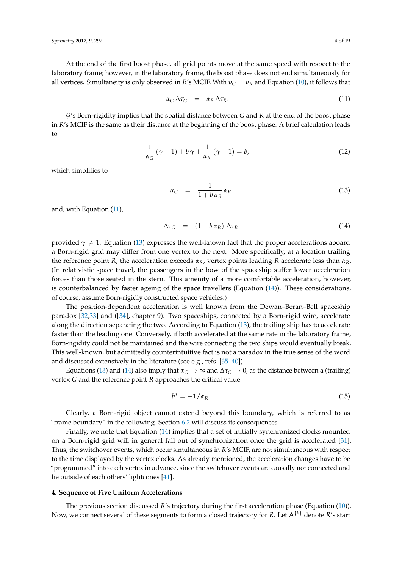At the end of the first boost phase, all grid points move at the same speed with respect to the laboratory frame; however, in the laboratory frame, the boost phase does not end simultaneously for all vertices. Simultaneity is only observed in *R*'s MCIF. With  $v_G = v_R$  and Equation [\(10\)](#page-2-2), it follows that

<span id="page-3-0"></span>
$$
\alpha_G \Delta \tau_G = \alpha_R \Delta \tau_R. \tag{11}
$$

G's Born-rigidity implies that the spatial distance between *G* and *R* at the end of the boost phase in *R*'s MCIF is the same as their distance at the beginning of the boost phase. A brief calculation leads to

$$
-\frac{1}{\alpha_G}(\gamma - 1) + b\gamma + \frac{1}{\alpha_R}(\gamma - 1) = b,\tag{12}
$$

which simplifies to

<span id="page-3-1"></span>
$$
\alpha_G = \frac{1}{1 + b \alpha_R} \alpha_R \tag{13}
$$

and, with Equation [\(11\)](#page-3-0),

<span id="page-3-2"></span>
$$
\Delta \tau_G = (1 + b \alpha_R) \Delta \tau_R \tag{14}
$$

provided  $\gamma \neq 1$ . Equation [\(13\)](#page-3-1) expresses the well-known fact that the proper accelerations aboard a Born-rigid grid may differ from one vertex to the next. More specifically, at a location trailing the reference point *R*, the acceleration exceeds *αR*, vertex points leading *R* accelerate less than *αR*. (In relativistic space travel, the passengers in the bow of the spaceship suffer lower acceleration forces than those seated in the stern. This amenity of a more comfortable acceleration, however, is counterbalanced by faster ageing of the space travellers (Equation [\(14\)](#page-3-2)). These considerations, of course, assume Born-rigidly constructed space vehicles.)

The position-dependent acceleration is well known from the Dewan–Beran–Bell spaceship paradox [\[32,](#page-18-2)[33\]](#page-18-3) and ([\[34\]](#page-18-4), chapter 9). Two spaceships, connected by a Born-rigid wire, accelerate along the direction separating the two. According to Equation [\(13\)](#page-3-1), the trailing ship has to accelerate faster than the leading one. Conversely, if both accelerated at the same rate in the laboratory frame, Born-rigidity could not be maintained and the wire connecting the two ships would eventually break. This well-known, but admittedly counterintuitive fact is not a paradox in the true sense of the word and discussed extensively in the literature (see e.g., refs. [\[35](#page-18-5)[–40\]](#page-18-6)).

Equations [\(13\)](#page-3-1) and [\(14\)](#page-3-2) also imply that  $\alpha_G \to \infty$  and  $\Delta \tau_G \to 0$ , as the distance between a (trailing) vertex *G* and the reference point *R* approaches the critical value

$$
b^* = -1/\alpha_R. \tag{15}
$$

Clearly, a Born-rigid object cannot extend beyond this boundary, which is referred to as "frame boundary" in the following. Section [6.2](#page-12-0) will discuss its consequences.

Finally, we note that Equation [\(14\)](#page-3-2) implies that a set of initially synchronized clocks mounted on a Born-rigid grid will in general fall out of synchronization once the grid is accelerated [\[31\]](#page-18-1). Thus, the switchover events, which occur simultaneous in *R*'s MCIF, are not simultaneous with respect to the time displayed by the vertex clocks. As already mentioned, the acceleration changes have to be "programmed" into each vertex in advance, since the switchover events are causally not connected and lie outside of each others' lightcones [\[41\]](#page-18-7).

#### <span id="page-3-3"></span>**4. Sequence of Five Uniform Accelerations**

The previous section discussed *R*'s trajectory during the first acceleration phase (Equation [\(10\)](#page-2-2)). Now, we connect several of these segments to form a closed trajectory for *R*. Let A {*k*} denote *R*'s start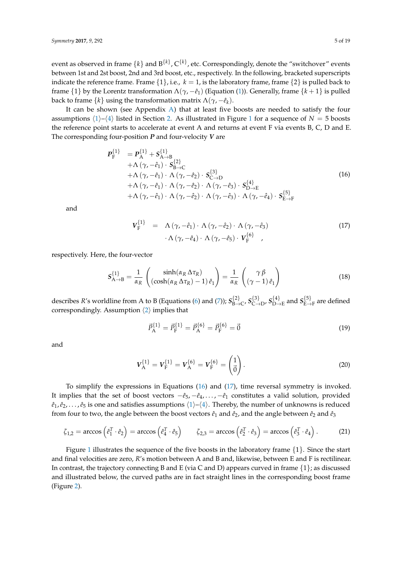event as observed in frame  $\{k\}$  and  $B^{\{k\}}$ ,  $C^{\{k\}}$ , etc. Correspondingly, denote the "switchover" events between 1st and 2st boost, 2nd and 3rd boost, etc., respectively. In the following, bracketed superscripts indicate the reference frame. Frame  $\{1\}$ , i.e.,  $k = 1$ , is the laboratory frame, frame  $\{2\}$  is pulled back to frame  $\{1\}$  by the Lorentz transformation  $\Lambda(\gamma, -\hat{e}_1)$  (Equation [\(1\)](#page-1-0)). Generally, frame  $\{k+1\}$  is pulled back to frame  $\{k\}$  using the transformation matrix  $\Lambda(\gamma, -\hat{e}_k)$ .

It can be shown (see Appendix [A\)](#page-14-0) that at least five boosts are needed to satisfy the four assumptions  $\langle 1 \rangle$  $\langle 1 \rangle$  $\langle 1 \rangle$ – $\langle 4 \rangle$  $\langle 4 \rangle$  $\langle 4 \rangle$  listed in Section [2.](#page-1-5) As illustrated in Figure 1 for a sequence of *N* = 5 boosts the reference point starts to accelerate at event A and returns at event F via events B, C, D and E. The corresponding four-position *P* and four-velocity *V* are

<span id="page-4-0"></span>
$$
\begin{split} \mathbf{P}_{\mathrm{F}}^{\{1\}} &= \mathbf{P}_{\mathrm{A}}^{\{1\}} + \mathbf{S}_{\mathrm{A}\to\mathrm{B}}^{\{1\}} \\ &+ \Lambda \left( \gamma, -\hat{e}_1 \right) \cdot \mathbf{S}_{\mathrm{B}\to\mathrm{C}}^{\{2\}} \\ &+ \Lambda \left( \gamma, -\hat{e}_1 \right) \cdot \Lambda \left( \gamma, -\hat{e}_2 \right) \cdot \mathbf{S}_{\mathrm{C}\to\mathrm{D}}^{\{3\}} \\ &+ \Lambda \left( \gamma, -\hat{e}_1 \right) \cdot \Lambda \left( \gamma, -\hat{e}_2 \right) \cdot \Lambda \left( \gamma, -\hat{e}_3 \right) \cdot \mathbf{S}_{\mathrm{D}\to\mathrm{E}}^{\{4\}} \\ &+ \Lambda \left( \gamma, -\hat{e}_1 \right) \cdot \Lambda \left( \gamma, -\hat{e}_2 \right) \cdot \Lambda \left( \gamma, -\hat{e}_3 \right) \cdot \Lambda \left( \gamma, -\hat{e}_4 \right) \cdot \mathbf{S}_{\mathrm{E}\to\mathrm{F}}^{\{5\}} \end{split} \tag{16}
$$

and

<span id="page-4-1"></span> $V_{\rm F}^{\{1\}}$  =  $\Lambda \left(\gamma, -\hat{e}_1\right) \cdot \Lambda \left(\gamma, -\hat{e}_2\right) \cdot \Lambda \left(\gamma, -\hat{e}_3\right)$  (17)  $\cdot \Lambda (\gamma, -\hat{e}_4) \cdot \Lambda (\gamma, -\hat{e}_5) \cdot V_{\text{F}}^{\{6\}}$  $F$  /

respectively. Here, the four-vector

<span id="page-4-3"></span>
$$
S_{\mathbf{A}\to\mathbf{B}}^{\{1\}} = \frac{1}{\alpha_R} \left( \frac{\sinh(\alpha_R \Delta \tau_R)}{(\cosh(\alpha_R \Delta \tau_R) - 1) \,\hat{e}_1} \right) = \frac{1}{\alpha_R} \left( \frac{\gamma \,\beta}{(\gamma - 1) \,\hat{e}_1} \right) \tag{18}
$$

describes *R*'s worldline from A to B (Equations [\(6\)](#page-2-0) and [\(7\)](#page-2-3));  $S_{\rm B\rightarrow}^{\{2\}}$ {2}<br>B→C<sup>,</sup> S<sub>C→</sub> {3}<br>C→D</sub>,  $S_{\rm D-}^{\{4\}}$  ${}_{\rm D\rightarrow E}^{\{4\}}$  and  $S_{\rm E\rightarrow E}^{\{5\}}$  $E^{\text{CJ}}_{\rightarrow F}$  are defined correspondingly. Assumption  $\langle 2 \rangle$  $\langle 2 \rangle$  $\langle 2 \rangle$  implies that

<span id="page-4-4"></span>
$$
\vec{P}_{\mathbf{A}}^{\{1\}} = \vec{P}_{\mathbf{F}}^{\{1\}} = \vec{P}_{\mathbf{A}}^{\{6\}} = \vec{P}_{\mathbf{F}}^{\{6\}} = \vec{0}
$$
\n(19)

and

<span id="page-4-2"></span>
$$
V_{\mathcal{A}}^{\{1\}} = V_{\mathcal{F}}^{\{1\}} = V_{\mathcal{A}}^{\{6\}} = V_{\mathcal{F}}^{\{6\}} = \begin{pmatrix} 1 \\ \vec{0} \end{pmatrix}.
$$
 (20)

To simplify the expressions in Equations [\(16\)](#page-4-0) and [\(17\)](#page-4-1), time reversal symmetry is invoked. It implies that the set of boost vectors  $-\hat{e}_5$ ,  $-\hat{e}_4$ , ...,  $-\hat{e}_1$  constitutes a valid solution, provided  $\hat{e}_1, \hat{e}_2, \ldots, \hat{e}_5$  $\hat{e}_1, \hat{e}_2, \ldots, \hat{e}_5$  $\hat{e}_1, \hat{e}_2, \ldots, \hat{e}_5$  is one and satisfies assumptions  $\langle 1 \rangle - \langle 4 \rangle$  $\langle 1 \rangle - \langle 4 \rangle$  $\langle 1 \rangle - \langle 4 \rangle$ . Thereby, the number of unknowns is reduced from four to two, the angle between the boost vectors  $\hat{e}_1$  and  $\hat{e}_2$ , and the angle between  $\hat{e}_2$  and  $\hat{e}_3$ 

$$
\zeta_{1,2} = \arccos\left(\hat{e}_1^T \cdot \hat{e}_2\right) = \arccos\left(\hat{e}_4^T \cdot \hat{e}_5\right) \qquad \zeta_{2,3} = \arccos\left(\hat{e}_2^T \cdot \hat{e}_3\right) = \arccos\left(\hat{e}_3^T \cdot \hat{e}_4\right). \tag{21}
$$

Figure [1](#page-5-0) illustrates the sequence of the five boosts in the laboratory frame  $\{1\}$ . Since the start and final velocities are zero, *R*'s motion between A and B and, likewise, between E and F is rectilinear. In contrast, the trajectory connecting B and E (via C and D) appears curved in frame  $\{1\}$ ; as discussed and illustrated below, the curved paths are in fact straight lines in the corresponding boost frame (Figure [2\)](#page-5-1).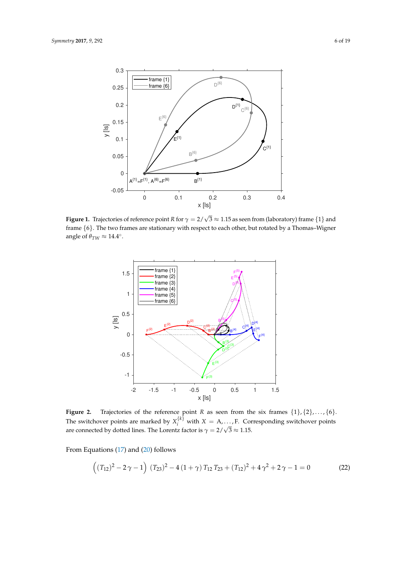<span id="page-5-0"></span>

<span id="page-5-1"></span>**Figure 1.** Trajectories of reference point *R* for  $\gamma = 2/\sqrt{3} \approx 1.15$  as seen from (laboratory) frame  $\{1\}$  and frame {6}. The two frames are stationary with respect to each other, but rotated by a Thomas–Wigner angle of  $\theta_{TW} \approx 14.4^{\circ}$ .



**Figure 2.** Trajectories of the reference point *R* as seen from the six frames  $\{1\}, \{2\}, \ldots, \{6\}.$ The switchover points are marked by  $X_i^{\{k\}}$  with  $X = A, \ldots, F$ . Corresponding switchover points are connected by dotted lines. The Lorentz factor is  $\gamma = 2/\sqrt{3} \approx 1.15$ .

From Equations [\(17\)](#page-4-1) and [\(20\)](#page-4-2) follows

<span id="page-5-2"></span>
$$
((T_{12})^2 - 2\gamma - 1) (T_{23})^2 - 4(1+\gamma) T_{12} T_{23} + (T_{12})^2 + 4\gamma^2 + 2\gamma - 1 = 0
$$
 (22)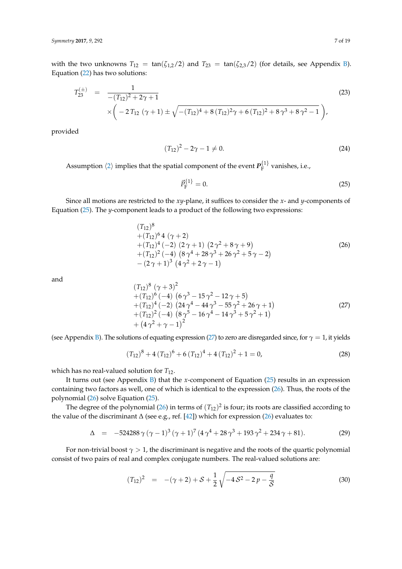with the two unknowns  $T_{12} = \tan(\zeta_{1,2}/2)$  and  $T_{23} = \tan(\zeta_{2,3}/2)$  (for details, see Appendix [B\)](#page-15-0). Equation [\(22\)](#page-5-2) has two solutions:

<span id="page-6-4"></span>
$$
T_{23}^{(\pm)} = \frac{1}{-(T_{12})^2 + 2\gamma + 1}
$$
\n
$$
\times \left(-2 T_{12} (\gamma + 1) \pm \sqrt{-(T_{12})^4 + 8 (T_{12})^2 \gamma + 6 (T_{12})^2 + 8 \gamma^3 + 8 \gamma^2 - 1}\right),
$$
\n(23)

provided

$$
(T_{12})^2 - 2\gamma - 1 \neq 0. \tag{24}
$$

Assumption  $\langle 2 \rangle$  $\langle 2 \rangle$  $\langle 2 \rangle$  implies that the spatial component of the event  $P_{\rm F}^{\{1\}}$  $F^{\text{L}^{\text{L}}}$  vanishes, i.e.,

<span id="page-6-0"></span>
$$
\vec{P}_{\rm F}^{\{1\}} = 0. \tag{25}
$$

Since all motions are restricted to the *xy*-plane, it suffices to consider the *x*- and *y*-components of Equation [\(25\)](#page-6-0). The *y*-component leads to a product of the following two expressions:

<span id="page-6-2"></span>
$$
(T12)8+ (T12)64 (\gamma + 2)+ (T12)4 (-2) (2 \gamma + 1) (2 \gamma2 + 8 \gamma + 9)+ (T12)2 (-4) (8 \gamma4 + 28 \gamma3 + 26 \gamma2 + 5 \gamma - 2)- (2 \gamma + 1)3 (4 \gamma2 + 2 \gamma - 1)
$$
\n(26)

and

<span id="page-6-1"></span>
$$
(T_{12})^8 (\gamma + 3)^2 + (T_{12})^6 (-4) (6 \gamma^3 - 15 \gamma^2 - 12 \gamma + 5) + (T_{12})^4 (-2) (24 \gamma^4 - 44 \gamma^3 - 55 \gamma^2 + 26 \gamma + 1) + (T_{12})^2 (-4) (8 \gamma^5 - 16 \gamma^4 - 14 \gamma^3 + 5 \gamma^2 + 1) + (4 \gamma^2 + \gamma - 1)^2
$$
 (27)

(see Appendix [B\)](#page-15-0). The solutions of equating expression [\(27\)](#page-6-1) to zero are disregarded since, for  $\gamma = 1$ , it yields

$$
(T_{12})^8 + 4(T_{12})^6 + 6(T_{12})^4 + 4(T_{12})^2 + 1 = 0,
$$
\n(28)

which has no real-valued solution for *T*12.

It turns out (see Appendix [B\)](#page-15-0) that the *x*-component of Equation [\(25\)](#page-6-0) results in an expression containing two factors as well, one of which is identical to the expression [\(26\)](#page-6-2). Thus, the roots of the polynomial [\(26\)](#page-6-2) solve Equation [\(25\)](#page-6-0).

The degree of the polynomial [\(26\)](#page-6-2) in terms of  $(T_{12})^2$  is four; its roots are classified according to the value of the discriminant ∆ (see e.g., ref. [\[42\]](#page-18-8)) which for expression [\(26\)](#page-6-2) evaluates to:

$$
\Delta = -524288 \gamma (\gamma - 1)^3 (\gamma + 1)^7 (4 \gamma^4 + 28 \gamma^3 + 193 \gamma^2 + 234 \gamma + 81). \tag{29}
$$

For non-trivial boost  $\gamma > 1$ , the discriminant is negative and the roots of the quartic polynomial consist of two pairs of real and complex conjugate numbers. The real-valued solutions are:

<span id="page-6-3"></span>
$$
(T_{12})^2 = -(\gamma + 2) + S + \frac{1}{2} \sqrt{-4 S^2 - 2 p - \frac{q}{S}}
$$
 (30)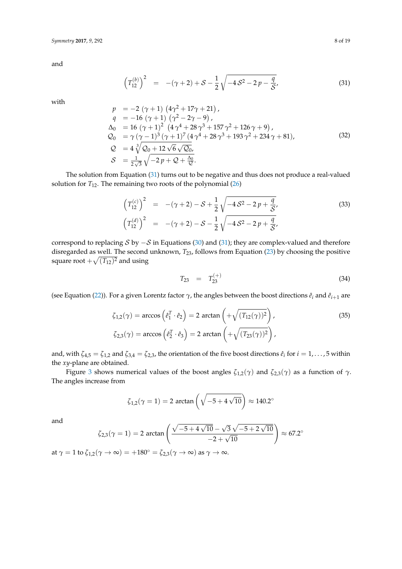and

<span id="page-7-0"></span>
$$
\left(T_{12}^{(b)}\right)^2 = -(\gamma + 2) + S - \frac{1}{2}\sqrt{-4S^2 - 2p - \frac{q}{S'}}\tag{31}
$$

with

$$
p = -2 (\gamma + 1) (4\gamma^2 + 17\gamma + 21),
$$
  
\n
$$
q = -16 (\gamma + 1) (\gamma^2 - 2\gamma - 9),
$$
  
\n
$$
\Delta_0 = 16 (\gamma + 1)^2 (4\gamma^4 + 28\gamma^3 + 157\gamma^2 + 126\gamma + 9),
$$
  
\n
$$
Q_0 = \gamma (\gamma - 1)^3 (\gamma + 1)^7 (4\gamma^4 + 28\gamma^3 + 193\gamma^2 + 234\gamma + 81),
$$
  
\n
$$
Q = 4 \sqrt[3]{Q_0 + 12\sqrt{6}\sqrt{Q_0}},
$$
  
\n
$$
S = \frac{1}{2\sqrt{3}} \sqrt{-2p + Q + \frac{\Delta_0}{Q}}.
$$
\n(32)

The solution from Equation [\(31\)](#page-7-0) turns out to be negative and thus does not produce a real-valued solution for *T*12. The remaining two roots of the polynomial [\(26\)](#page-6-2)

$$
\left(T_{12}^{(c)}\right)^2 = -(\gamma + 2) - S + \frac{1}{2}\sqrt{-4S^2 - 2p + \frac{q}{S'}}
$$
\n
$$
\left(T_{12}^{(d)}\right)^2 = -(\gamma + 2) - S - \frac{1}{2}\sqrt{-4S^2 - 2p + \frac{q}{S'}}
$$
\n(33)

correspond to replacing  $S$  by  $-S$  in Equations [\(30\)](#page-6-3) and [\(31\)](#page-7-0); they are complex-valued and therefore disregarded as well. The second unknown,  $T_{23}$ , follows from Equation [\(23\)](#page-6-4) by choosing the positive square root  $+\sqrt{(T_{12})^2}$  and using

<span id="page-7-1"></span>
$$
T_{23} = T_{23}^{(+)} \tag{34}
$$

(see Equation [\(22\)](#page-5-2)). For a given Lorentz factor  $\gamma$ , the angles between the boost directions  $\hat{e}_i$  and  $\hat{e}_{i+1}$  are

<span id="page-7-2"></span>
$$
\zeta_{1,2}(\gamma) = \arccos\left(\hat{e}_1^T \cdot \hat{e}_2\right) = 2 \arctan\left(+\sqrt{(T_{12}(\gamma))^2}\right),
$$
\n
$$
\zeta_{2,3}(\gamma) = \arccos\left(\hat{e}_2^T \cdot \hat{e}_3\right) = 2 \arctan\left(+\sqrt{(T_{23}(\gamma))^2}\right),
$$
\n(35)

and, with  $\zeta_{4,5} = \zeta_{1,2}$  and  $\zeta_{3,4} = \zeta_{2,3}$ , the orientation of the five boost directions  $\hat{e}_i$  for  $i = 1, \ldots, 5$  within the *xy*-plane are obtained.

Figure [3](#page-8-0) shows numerical values of the boost angles  $\zeta_{1,2}(\gamma)$  and  $\zeta_{2,3}(\gamma)$  as a function of  $\gamma$ . The angles increase from

$$
\zeta_{1,2}(\gamma=1)=2 \arctan\left(\sqrt{-5+4\sqrt{10}}\right)\approx 140.2^{\circ}
$$

and

$$
\zeta_{2,3}(\gamma=1) = 2 \arctan\left(\frac{\sqrt{-5 + 4\sqrt{10}} - \sqrt{3}\sqrt{-5 + 2\sqrt{10}}}{-2 + \sqrt{10}}\right) \approx 67.2^{\circ}
$$

at  $\gamma = 1$  to  $\zeta_{1,2}(\gamma \to \infty) = +180^\circ = \zeta_{2,3}(\gamma \to \infty)$  as  $\gamma \to \infty$ .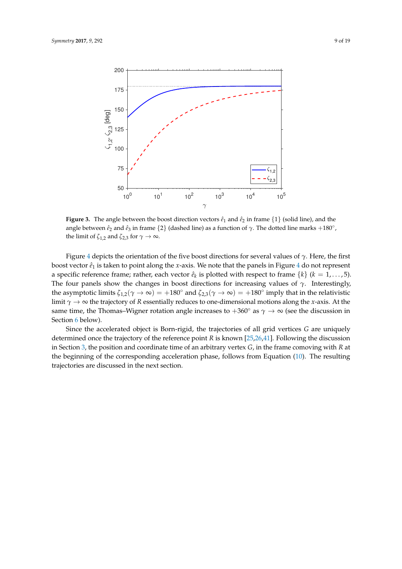<span id="page-8-0"></span>

**Figure 3.** The angle between the boost direction vectors  $\hat{e}_1$  and  $\hat{e}_2$  in frame {1} (solid line), and the angle between  $\hat{e}_2$  and  $\hat{e}_3$  in frame  $\{2\}$  (dashed line) as a function of  $\gamma$ . The dotted line marks  $+180^\circ$ , the limit of  $\zeta_{1,2}$  and  $\zeta_{2,3}$  for  $\gamma \to \infty$ .

Figure [4](#page-9-1) depicts the orientation of the five boost directions for several values of *γ*. Here, the first boost vector  $\hat{e}_1$  is taken to point along the *x*-axis. We note that the panels in Figure [4](#page-9-1) do not represent a specific reference frame; rather, each vector  $\hat{e}_k$  is plotted with respect to frame  $\{k\}$  ( $k = 1, \ldots, 5$ ). The four panels show the changes in boost directions for increasing values of *γ*. Interestingly, the asymptotic limits  $\zeta_{1,2}(\gamma \to \infty) = +180^\circ$  and  $\zeta_{2,3}(\gamma \to \infty) = +180^\circ$  imply that in the relativistic limit *γ* → ∞ the trajectory of *R* essentially reduces to one-dimensional motions along the *x*-axis. At the same time, the Thomas–Wigner rotation angle increases to  $+360°$  as  $\gamma \to \infty$  (see the discussion in Section [6](#page-10-0) below).

Since the accelerated object is Born-rigid, the trajectories of all grid vertices *G* are uniquely determined once the trajectory of the reference point *R* is known [\[25](#page-17-9)[,26,](#page-17-10)[41\]](#page-18-7). Following the discussion in Section [3,](#page-2-4) the position and coordinate time of an arbitrary vertex *G*, in the frame comoving with *R* at the beginning of the corresponding acceleration phase, follows from Equation [\(10\)](#page-2-2). The resulting trajectories are discussed in the next section.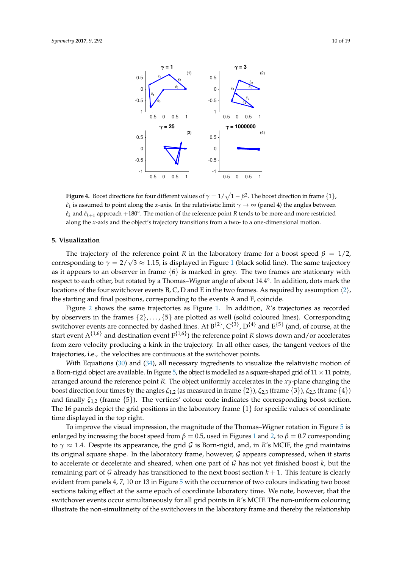<span id="page-9-1"></span>

**Figure 4.** Boost directions for four different values of  $\gamma = 1/\sqrt{1-\beta^2}$ . The boost direction in frame  $\{1\}$ ,  $\hat{e}_1$  is assumed to point along the *x*-axis. In the relativistic limit  $\gamma \to \infty$  (panel 4) the angles between  $\hat{e}_k$  and  $\hat{e}_{k+1}$  approach +180°. The motion of the reference point *R* tends to be more and more restricted along the *x*-axis and the object's trajectory transitions from a two- to a one-dimensional motion.

## <span id="page-9-0"></span>**5. Visualization**

The trajectory of the reference point *R* in the laboratory frame for a boost speed  $\beta = 1/2$ , corresponding to  $\gamma=2/\surd 3\approx 1.15$  $\gamma=2/\surd 3\approx 1.15$  $\gamma=2/\surd 3\approx 1.15$ , is displayed in Figure 1 (black solid line). The same trajectory as it appears to an observer in frame  ${6}$  is marked in grey. The two frames are stationary with respect to each other, but rotated by a Thomas–Wigner angle of about 14.4◦ . In addition, dots mark the locations of the four switchover events B, C, D and E in the two frames. As required by assumption  $\langle 2 \rangle$  $\langle 2 \rangle$  $\langle 2 \rangle$ , the starting and final positions, corresponding to the events A and F, coincide.

Figure [2](#page-5-1) shows the same trajectories as Figure [1.](#page-5-0) In addition, *R*'s trajectories as recorded by observers in the frames  $\{2\}, \ldots, \{5\}$  are plotted as well (solid coloured lines). Corresponding switchover events are connected by dashed lines. At  $B^{\{2\}}$ ,  $C^{\{3\}}$ ,  $D^{\{4\}}$  and  $E^{\{5\}}$  (and, of course, at the start event  $A^{\{1,6\}}$  and destination event  $F^{\{1,6\}}$ ) the reference point *R* slows down and/or accelerates from zero velocity producing a kink in the trajectory. In all other cases, the tangent vectors of the trajectories, i.e., the velocities are continuous at the switchover points.

With Equations [\(30\)](#page-6-3) and [\(34\)](#page-7-1), all necessary ingredients to visualize the relativistic motion of a Born-rigid object are available. In Figure [5,](#page-10-1) the object is modelled as a square-shaped grid of  $11 \times 11$  points, arranged around the reference point *R*. The object uniformly accelerates in the *xy*-plane changing the boost direction four times by the angles  $\zeta_{1,2}$  (as measured in frame  $\{2\}$ ),  $\zeta_{2,3}$  (frame  $\{3\}$ ),  $\zeta_{2,3}$  (frame  $\{4\}$ ) and finally  $\zeta_{1,2}$  (frame  $\{5\}$ ). The vertices' colour code indicates the corresponding boost section. The 16 panels depict the grid positions in the laboratory frame  $\{1\}$  for specific values of coordinate time displayed in the top right.

To improve the visual impression, the magnitude of the Thomas–Wigner rotation in Figure [5](#page-10-1) is enlarged by increasing the boost speed from  $\beta = 0.5$ , used in Figures [1](#page-5-0) and [2,](#page-5-1) to  $\beta = 0.7$  corresponding to *γ* ≈ 1.4. Despite its appearance, the grid G is Born-rigid, and, in *R*'s MCIF, the grid maintains its original square shape. In the laboratory frame, however,  $G$  appears compressed, when it starts to accelerate or decelerate and sheared, when one part of G has not yet finished boost *k*, but the remaining part of  $G$  already has transitioned to the next boost section  $k + 1$ . This feature is clearly evident from panels 4, 7, 10 or 13 in Figure [5](#page-10-1) with the occurrence of two colours indicating two boost sections taking effect at the same epoch of coordinate laboratory time. We note, however, that the switchover events occur simultaneously for all grid points in *R*'s MCIF. The non-uniform colouring illustrate the non-simultaneity of the switchovers in the laboratory frame and thereby the relationship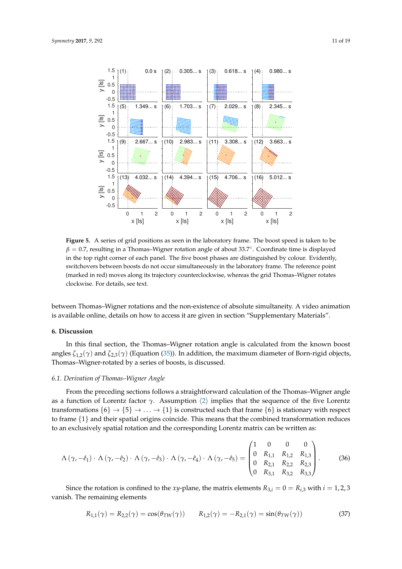<span id="page-10-1"></span>

Figure 5. A series of grid positions as seen in the laboratory frame. The boost speed is taken to be  $\beta = 0.7$ , resulting in a Thomas–Wigner rotation angle of about 33.7°. Coordinate time is displayed in the top right corner of each panel. The five boost phases are distinguished by colour. Evidently, switchovers between boosts do not occur simultaneously in the laboratory frame. The reference point (marked in red) moves along its trajectory counterclockwise, whereas the grid Thomas–Wigner rotates clockwise. For details, see text.

between Thomas–Wigner rotations and the non-existence of absolute simultaneity. A video animation is available online, details on how to access it are given in section "Supplementary Materials".

## <span id="page-10-0"></span>**6. Discussion**

In this final section, the Thomas–Wigner rotation angle is calculated from the known boost angles *ζ*1,2(*γ*) and *ζ*2,3(*γ*) (Equation [\(35\)](#page-7-2)). In addition, the maximum diameter of Born-rigid objects, Thomas–Wigner-rotated by a series of boosts, is discussed.

## *6.1. Derivation of Thomas–Wigner Angle*

From the preceding sections follows a straightforward calculation of the Thomas–Wigner angle as a function of Lorentz factor  $\gamma$ . Assumption  $\langle 2 \rangle$  $\langle 2 \rangle$  $\langle 2 \rangle$  implies that the sequence of the five Lorentz transformations  $\{6\} \rightarrow \{5\} \rightarrow \ldots \rightarrow \{1\}$  is constructed such that frame  $\{6\}$  is stationary with respect to frame  $\{1\}$  and their spatial origins coincide. This means that the combined transformation reduces to an exclusively spatial rotation and the corresponding Lorentz matrix can be written as:

<span id="page-10-2"></span>
$$
\Lambda(\gamma, -\hat{e}_1) \cdot \Lambda(\gamma, -\hat{e}_2) \cdot \Lambda(\gamma, -\hat{e}_3) \cdot \Lambda(\gamma, -\hat{e}_4) \cdot \Lambda(\gamma, -\hat{e}_5) = \begin{pmatrix} 1 & 0 & 0 & 0 \\ 0 & R_{1,1} & R_{1,2} & R_{1,3} \\ 0 & R_{2,1} & R_{2,2} & R_{2,3} \\ 0 & R_{3,1} & R_{3,2} & R_{3,3} \end{pmatrix}.
$$
 (36)

Since the rotation is confined to the *xy*-plane, the matrix elements  $R_{3,i} = 0 = R_{i,3}$  with  $i = 1,2,3$ vanish. The remaining elements

$$
R_{1,1}(\gamma) = R_{2,2}(\gamma) = \cos(\theta_{TW}(\gamma)) \qquad R_{1,2}(\gamma) = -R_{2,1}(\gamma) = \sin(\theta_{TW}(\gamma)) \tag{37}
$$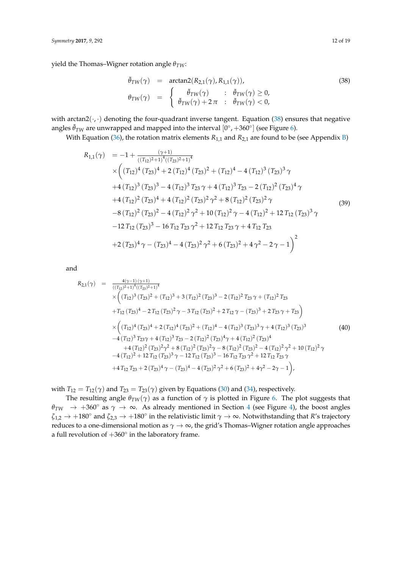yield the Thomas–Wigner rotation angle *θTW*:

<span id="page-11-0"></span>
$$
\begin{array}{rcl}\n\tilde{\theta}_{TW}(\gamma) & = & \arctan(2(R_{2,1}(\gamma), R_{1,1}(\gamma)), \\
\theta_{TW}(\gamma) & = & \begin{cases}\n\tilde{\theta}_{TW}(\gamma) & : & \tilde{\theta}_{TW}(\gamma) \ge 0, \\
\tilde{\theta}_{TW}(\gamma) + 2\pi & : & \tilde{\theta}_{TW}(\gamma) < 0,\n\end{cases}\n\end{array}\n\tag{38}
$$

with arctan2( $\cdot$ , $\cdot$ ) denoting the four-quadrant inverse tangent. Equation [\(38\)](#page-11-0) ensures that negative angles  $\tilde{\theta}_{TW}$  are unwrapped and mapped into the interval  $[0^{\circ},+360^{\circ}]$  (see Figure [6\)](#page-12-1).

With Equation [\(36\)](#page-10-2), the rotation matrix elements  $R_{1,1}$  and  $R_{2,1}$  are found to be (see Appendix [B\)](#page-15-0)

<span id="page-11-1"></span>
$$
R_{1,1}(\gamma) = -1 + \frac{(\gamma+1)}{((T_{12})^2+1)^4((T_{23})^2+1)^4}
$$
  
\n
$$
\times \left( (T_{12})^4 (T_{23})^4 + 2 (T_{12})^4 (T_{23})^2 + (T_{12})^4 - 4 (T_{12})^3 (T_{23})^3 \gamma
$$
  
\n
$$
+ 4 (T_{12})^3 (T_{23})^3 - 4 (T_{12})^3 T_{23} \gamma + 4 (T_{12})^3 T_{23} - 2 (T_{12})^2 (T_{23})^4 \gamma
$$
  
\n
$$
+ 4 (T_{12})^2 (T_{23})^4 + 4 (T_{12})^2 (T_{23})^2 \gamma^2 + 8 (T_{12})^2 (T_{23})^2 \gamma
$$
  
\n
$$
- 8 (T_{12})^2 (T_{23})^2 - 4 (T_{12})^2 \gamma^2 + 10 (T_{12})^2 \gamma - 4 (T_{12})^2 + 12 T_{12} (T_{23})^3 \gamma
$$
  
\n
$$
- 12 T_{12} (T_{23})^3 - 16 T_{12} T_{23} \gamma^2 + 12 T_{12} T_{23} \gamma + 4 T_{12} T_{23}
$$
  
\n
$$
+ 2 (T_{23})^4 \gamma - (T_{23})^4 - 4 (T_{23})^2 \gamma^2 + 6 (T_{23})^2 + 4 \gamma^2 - 2 \gamma - 1 \Big)^2
$$
  
\n(39)

and

<span id="page-11-2"></span>
$$
R_{2,1}(\gamma) = \frac{4(\gamma-1)(\gamma+1)}{((T_{12})^2+1)^4((T_{23})^2+1)^4}
$$
  
\n
$$
\times \left( (T_{12})^3 (T_{23})^2 + (T_{12})^3 + 3 (T_{12})^2 (T_{23})^3 - 2 (T_{12})^2 T_{23} \gamma + (T_{12})^2 T_{23} + T_{12} (T_{23})^4 - 2 T_{12} (T_{23})^2 \gamma - 3 T_{12} (T_{23})^2 + 2 T_{12} \gamma - (T_{23})^3 + 2 T_{23} \gamma + T_{23} \right)
$$
  
\n
$$
\times \left( (T_{12})^4 (T_{23})^4 + 2 (T_{12})^4 (T_{23})^2 + (T_{12})^4 - 4 (T_{12})^3 (T_{23})^3 \gamma + 4 (T_{12})^3 (T_{23})^3 + 4 (T_{12})^3 T_{23} \gamma + 4 (T_{12})^3 T_{23} \gamma + 4 (T_{12})^3 T_{23} - 2 (T_{12})^2 (T_{23})^4 \gamma + 4 (T_{12})^2 (T_{23})^4 + 4 (T_{12})^2 (T_{23})^2 \gamma^2 + 8 (T_{12})^2 (T_{23})^2 \gamma - 8 (T_{12})^2 (T_{23})^2 - 4 (T_{12})^2 \gamma^2 + 10 (T_{12})^2 \gamma
$$
  
\n
$$
-4 (T_{12})^2 + 12 T_{12} (T_{23})^3 \gamma - 12 T_{12} (T_{23})^3 - 16 T_{12} T_{23} \gamma^2 + 12 T_{12} T_{23} \gamma
$$
  
\n
$$
+4 T_{12} T_{23} + 2 (T_{23})^4 \gamma - (T_{23})^4 - 4 (T_{23})^2 \gamma^2 + 6 (T_{23})^2 + 4 \gamma^2 - 2 \gamma - 1 \right),
$$
 (140)

with  $T_{12} = T_{12}(\gamma)$  and  $T_{23} = T_{23}(\gamma)$  given by Equations [\(30\)](#page-6-3) and [\(34\)](#page-7-1), respectively.

The resulting angle  $\theta_{TW}(\gamma)$  as a function of  $\gamma$  is plotted in Figure [6.](#page-12-1) The plot suggests that  $\theta_{TW}$   $\rightarrow$  +360° as  $\gamma$   $\rightarrow$   $\infty$ . As already mentioned in Section [4](#page-3-3) (see Figure [4\)](#page-9-1), the boost angles *ζ*1,2 → +180◦ and *ζ*2,3 → +180◦ in the relativistic limit *γ* → ∞. Notwithstanding that *R*'s trajectory reduces to a one-dimensional motion as *γ* → ∞, the grid's Thomas–Wigner rotation angle approaches a full revolution of  $+360^\circ$  in the laboratory frame.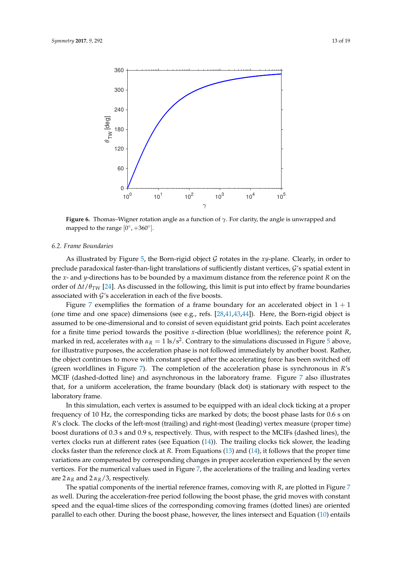<span id="page-12-1"></span>

**Figure 6.** Thomas–Wigner rotation angle as a function of *γ*. For clarity, the angle is unwrapped and mapped to the range  $[0^{\circ}, +360^{\circ}]$ .

#### <span id="page-12-0"></span>*6.2. Frame Boundaries*

As illustrated by Figure [5,](#page-10-1) the Born-rigid object  $G$  rotates in the *xy*-plane. Clearly, in order to preclude paradoxical faster-than-light translations of sufficiently distant vertices, G's spatial extent in the *x*- and *y*-directions has to be bounded by a maximum distance from the reference point *R* on the order of ∆*t*/*θTW* [\[24\]](#page-17-8). As discussed in the following, this limit is put into effect by frame boundaries associated with  $G'$ s acceleration in each of the five boosts.

Figure [7](#page-13-0) exemplifies the formation of a frame boundary for an accelerated object in  $1 + 1$ (one time and one space) dimensions (see e.g., refs. [\[28,](#page-18-0)[41,](#page-18-7)[43,](#page-18-9)[44\]](#page-18-10)). Here, the Born-rigid object is assumed to be one-dimensional and to consist of seven equidistant grid points. Each point accelerates for a finite time period towards the positive *x*-direction (blue worldlines); the reference point *R*, marked in red, accelerates with  $\alpha_R = 1$  ls/s<sup>2</sup>. Contrary to the simulations discussed in Figure [5](#page-10-1) above, for illustrative purposes, the acceleration phase is not followed immediately by another boost. Rather, the object continues to move with constant speed after the accelerating force has been switched off (green worldlines in Figure [7\)](#page-13-0). The completion of the acceleration phase is synchronous in *R*'s MCIF (dashed-dotted line) and asynchronous in the laboratory frame. Figure [7](#page-13-0) also illustrates that, for a uniform acceleration, the frame boundary (black dot) is stationary with respect to the laboratory frame.

In this simulation, each vertex is assumed to be equipped with an ideal clock ticking at a proper frequency of 10 Hz, the corresponding ticks are marked by dots; the boost phase lasts for 0.6 s on *R*'s clock. The clocks of the left-most (trailing) and right-most (leading) vertex measure (proper time) boost durations of 0.3 s and 0.9 s, respectively. Thus, with respect to the MCIFs (dashed lines), the vertex clocks run at different rates (see Equation [\(14\)](#page-3-2)). The trailing clocks tick slower, the leading clocks faster than the reference clock at *R*. From Equations [\(13\)](#page-3-1) and [\(14\)](#page-3-2), it follows that the proper time variations are compensated by corresponding changes in proper acceleration experienced by the seven vertices. For the numerical values used in Figure [7,](#page-13-0) the accelerations of the trailing and leading vertex are  $2 \alpha_R$  and  $2 \alpha_R/3$ , respectively.

The spatial components of the inertial reference frames, comoving with *R*, are plotted in Figure [7](#page-13-0) as well. During the acceleration-free period following the boost phase, the grid moves with constant speed and the equal-time slices of the corresponding comoving frames (dotted lines) are oriented parallel to each other. During the boost phase, however, the lines intersect and Equation [\(10\)](#page-2-2) entails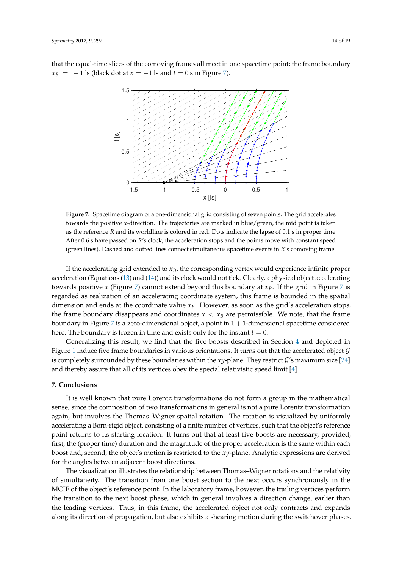<span id="page-13-0"></span>that the equal-time slices of the comoving frames all meet in one spacetime point; the frame boundary  $x_B = -1$  ls (black dot at  $x = -1$  ls and  $t = 0$  s in Figure [7\)](#page-13-0).



**Figure 7.** Spacetime diagram of a one-dimensional grid consisting of seven points. The grid accelerates towards the positive *x*-direction. The trajectories are marked in blue/green, the mid point is taken as the reference *R* and its worldline is colored in red. Dots indicate the lapse of 0.1 s in proper time. After 0.6 s have passed on *R*'s clock, the acceleration stops and the points move with constant speed (green lines). Dashed and dotted lines connect simultaneous spacetime events in *R*'s comoving frame.

If the accelerating grid extended to *xB*, the corresponding vertex would experience infinite proper acceleration (Equations [\(13\)](#page-3-1) and [\(14\)](#page-3-2)) and its clock would not tick. Clearly, a physical object accelerating towards positive *x* (Figure [7\)](#page-13-0) cannot extend beyond this boundary at  $x<sub>B</sub>$ . If the grid in Figure [7](#page-13-0) is regarded as realization of an accelerating coordinate system, this frame is bounded in the spatial dimension and ends at the coordinate value *xB*. However, as soon as the grid's acceleration stops, the frame boundary disappears and coordinates  $x < x_B$  are permissible. We note, that the frame boundary in Figure [7](#page-13-0) is a zero-dimensional object, a point in  $1 + 1$ -dimensional spacetime considered here. The boundary is frozen in time and exists only for the instant *t* = 0.

Generalizing this result, we find that the five boosts described in Section [4](#page-3-3) and depicted in Figure [1](#page-5-0) induce five frame boundaries in various orientations. It turns out that the accelerated object  $\mathcal G$ is completely surrounded by these boundaries within the  $xy$ -plane. They restrict  $\mathcal{G}'s$  maximum size [\[24\]](#page-17-8) and thereby assure that all of its vertices obey the special relativistic speed limit [\[4\]](#page-17-3).

#### **7. Conclusions**

It is well known that pure Lorentz transformations do not form a group in the mathematical sense, since the composition of two transformations in general is not a pure Lorentz transformation again, but involves the Thomas–Wigner spatial rotation. The rotation is visualized by uniformly accelerating a Born-rigid object, consisting of a finite number of vertices, such that the object's reference point returns to its starting location. It turns out that at least five boosts are necessary, provided, first, the (proper time) duration and the magnitude of the proper acceleration is the same within each boost and, second, the object's motion is restricted to the *xy*-plane. Analytic expressions are derived for the angles between adjacent boost directions.

The visualization illustrates the relationship between Thomas–Wigner rotations and the relativity of simultaneity. The transition from one boost section to the next occurs synchronously in the MCIF of the object's reference point. In the laboratory frame, however, the trailing vertices perform the transition to the next boost phase, which in general involves a direction change, earlier than the leading vertices. Thus, in this frame, the accelerated object not only contracts and expands along its direction of propagation, but also exhibits a shearing motion during the switchover phases.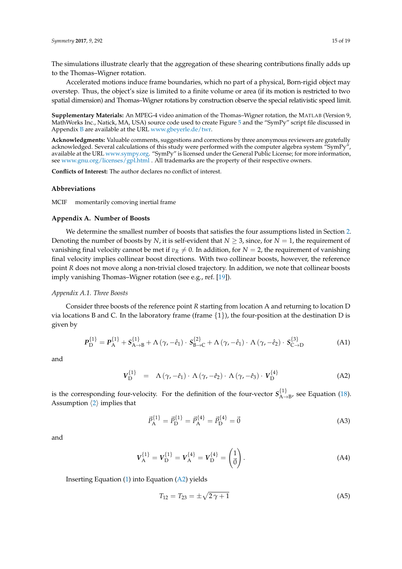The simulations illustrate clearly that the aggregation of these shearing contributions finally adds up to the Thomas–Wigner rotation.

Accelerated motions induce frame boundaries, which no part of a physical, Born-rigid object may overstep. Thus, the object's size is limited to a finite volume or area (if its motion is restricted to two spatial dimension) and Thomas–Wigner rotations by construction observe the special relativistic speed limit.

**Supplementary Materials:** An MPEG-4 video animation of the Thomas–Wigner rotation, the MATLAB (Version 9, MathWorks Inc., Natick, MA, USA) source code used to create Figure [5](#page-10-1) and the "SymPy" script file discussed in Appendix [B](#page-15-0) are available at the URL [www.gbeyerle.de/twr.](www.gbeyerle.de/twr)

**Acknowledgments:** Valuable comments, suggestions and corrections by three anonymous reviewers are gratefully acknowledged. Several calculations of this study were performed with the computer algebra system "SymPy" available at the URL [www.sympy.org.](www.sympy.org) "SymPy" is licensed under the General Public License; for more information, see <www.gnu.org/licenses/gpl.html> . All trademarks are the property of their respective owners.

**Conflicts of Interest:** The author declares no conflict of interest.

## **Abbreviations**

MCIF momentarily comoving inertial frame

## <span id="page-14-0"></span>**Appendix A. Number of Boosts**

We determine the smallest number of boosts that satisfies the four assumptions listed in Section [2.](#page-1-5) Denoting the number of boosts by *N*, it is self-evident that  $N \geq 3$ , since, for  $N = 1$ , the requirement of vanishing final velocity cannot be met if  $v_R \neq 0$ . In addition, for  $N = 2$ , the requirement of vanishing final velocity implies collinear boost directions. With two collinear boosts, however, the reference point *R* does not move along a non-trivial closed trajectory. In addition, we note that collinear boosts imply vanishing Thomas–Wigner rotation (see e.g., ref. [\[19\]](#page-17-13)).

#### <span id="page-14-3"></span>*Appendix A.1. Three Boosts*

Consider three boosts of the reference point *R* starting from location A and returning to location D via locations B and C. In the laboratory frame (frame  $\{1\}$ ), the four-position at the destination D is given by

<span id="page-14-4"></span>
$$
P_{\rm D}^{\{1\}} = P_{\rm A}^{\{1\}} + S_{\rm A \to B}^{\{1\}} + \Lambda \left( \gamma, -\hat{e}_1 \right) \cdot S_{\rm B \to C}^{\{2\}} + \Lambda \left( \gamma, -\hat{e}_1 \right) \cdot \Lambda \left( \gamma, -\hat{e}_2 \right) \cdot S_{\rm C \to D}^{\{3\}} \tag{A1}
$$

and

<span id="page-14-1"></span>
$$
V_{\mathcal{D}}^{\{1\}} = \Lambda \left( \gamma, -\hat{e}_1 \right) \cdot \Lambda \left( \gamma, -\hat{e}_2 \right) \cdot \Lambda \left( \gamma, -\hat{e}_3 \right) \cdot V_{\mathcal{D}}^{\{4\}} \tag{A2}
$$

is the corresponding four-velocity. For the definition of the four-vector  $S_{A-}^{\{1\}}$  $A \rightarrow B'$ , see Equation [\(18\)](#page-4-3). Assumption  $\langle 2 \rangle$  $\langle 2 \rangle$  $\langle 2 \rangle$  implies that

<span id="page-14-2"></span>
$$
\vec{P}_{\mathbf{A}}^{\{1\}} = \vec{P}_{\mathbf{D}}^{\{1\}} = \vec{P}_{\mathbf{A}}^{\{4\}} = \vec{P}_{\mathbf{D}}^{\{4\}} = \vec{0}
$$
\n(A3)

and

$$
V_{\mathcal{A}}^{\{1\}} = V_{\mathcal{D}}^{\{1\}} = V_{\mathcal{A}}^{\{4\}} = V_{\mathcal{D}}^{\{4\}} = \begin{pmatrix} 1 \\ \vec{0} \end{pmatrix}.
$$
 (A4)

Inserting Equation  $(1)$  into Equation  $(A2)$  yields

<span id="page-14-5"></span>
$$
T_{12} = T_{23} = \pm \sqrt{2\gamma + 1} \tag{A5}
$$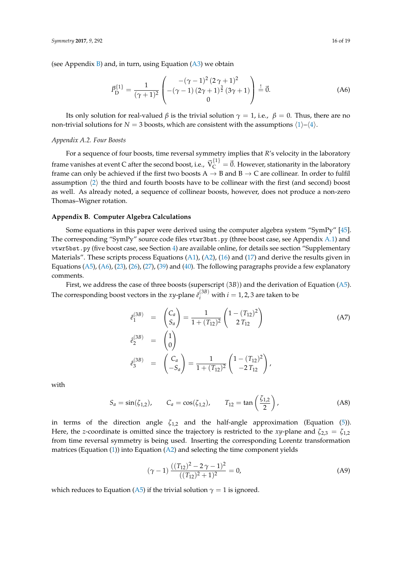(see Appendix  $B$ ) and, in turn, using Equation [\(A3\)](#page-14-2) we obtain

<span id="page-15-1"></span>
$$
\vec{P}_{\mathcal{D}}^{\{1\}} = \frac{1}{(\gamma+1)^2} \begin{pmatrix} -(\gamma-1)^2 (2\gamma+1)^2 \\ -(\gamma-1) (2\gamma+1)^{\frac{3}{2}} (3\gamma+1) \\ 0 \end{pmatrix} \stackrel{!}{=} \vec{0}.
$$
 (A6)

Its only solution for real-valued *β* is the trivial solution  $\gamma = 1$ , i.e.,  $\beta = 0$ . Thus, there are no non-trivial solutions for  $N = 3$  boosts, which are consistent with the assumptions  $\langle 1 \rangle - \langle 4 \rangle$  $\langle 1 \rangle - \langle 4 \rangle$  $\langle 1 \rangle - \langle 4 \rangle$  $\langle 1 \rangle - \langle 4 \rangle$  $\langle 1 \rangle - \langle 4 \rangle$ .

## *Appendix A.2. Four Boosts*

For a sequence of four boosts, time reversal symmetry implies that *R*'s velocity in the laboratory frame vanishes at event C after the second boost, i.e.,  $\vec{V}_{C}^{\{1\}}=\vec{0}$ . However, stationarity in the laboratory frame can only be achieved if the first two boosts  $A \rightarrow B$  and  $B \rightarrow C$  are collinear. In order to fulfil assumption  $\langle 2 \rangle$  $\langle 2 \rangle$  $\langle 2 \rangle$  the third and fourth boosts have to be collinear with the first (and second) boost as well. As already noted, a sequence of collinear boosts, however, does not produce a non-zero Thomas–Wigner rotation.

## <span id="page-15-0"></span>**Appendix B. Computer Algebra Calculations**

Some equations in this paper were derived using the computer algebra system "SymPy" [\[45\]](#page-18-11). The corresponding "SymPy" source code files vtwr3bst.py (three boost case, see Appendix [A.1\)](#page-14-3) and vtwr5bst.py (five boost case, see Section [4\)](#page-3-3) are available online, for details see section "Supplementary Materials". These scripts process Equations  $(A1)$ ,  $(A2)$ ,  $(16)$  and  $(17)$  and derive the results given in Equations  $(A5)$ ,  $(A6)$ ,  $(23)$ ,  $(26)$ ,  $(27)$ ,  $(39)$  and  $(40)$ . The following paragraphs provide a few explanatory comments.

First, we address the case of three boosts (superscript (3*B*)) and the derivation of Equation [\(A5\)](#page-14-5). The corresponding boost vectors in the *xy*-plane  $\hat{e}^{(3B)}_i$  with  $i = 1, 2, 3$  are taken to be

<span id="page-15-2"></span>
$$
\begin{aligned}\n\hat{e}_1^{(3B)} &= \begin{pmatrix} C_a \\ S_a \end{pmatrix} = \frac{1}{1 + (T_{12})^2} \begin{pmatrix} 1 - (T_{12})^2 \\ 2 T_{12} \end{pmatrix} \\
\hat{e}_2^{(3B)} &= \begin{pmatrix} 1 \\ 0 \end{pmatrix} \\
\hat{e}_3^{(3B)} &= \begin{pmatrix} C_a \\ -S_a \end{pmatrix} = \frac{1}{1 + (T_{12})^2} \begin{pmatrix} 1 - (T_{12})^2 \\ -2 T_{12} \end{pmatrix},\n\end{aligned}
$$
\n(A7)

with

$$
S_a = \sin(\zeta_{1,2}), \qquad C_a = \cos(\zeta_{1,2}), \qquad T_{12} = \tan\left(\frac{\zeta_{1,2}}{2}\right), \tag{A8}
$$

in terms of the direction angle *ζ*1,2 and the half-angle approximation (Equation [\(5\)](#page-2-5)). Here, the *z*-coordinate is omitted since the trajectory is restricted to the *xy*-plane and  $\zeta_{2,3} = \zeta_{1,2}$ from time reversal symmetry is being used. Inserting the corresponding Lorentz transformation matrices (Equation  $(1)$ ) into Equation  $(A2)$  and selecting the time component yields

$$
(\gamma - 1) \frac{((T_{12})^2 - 2\gamma - 1)^2}{((T_{12})^2 + 1)^2} = 0,
$$
 (A9)

which reduces to Equation [\(A5\)](#page-14-5) if the trivial solution  $\gamma = 1$  is ignored.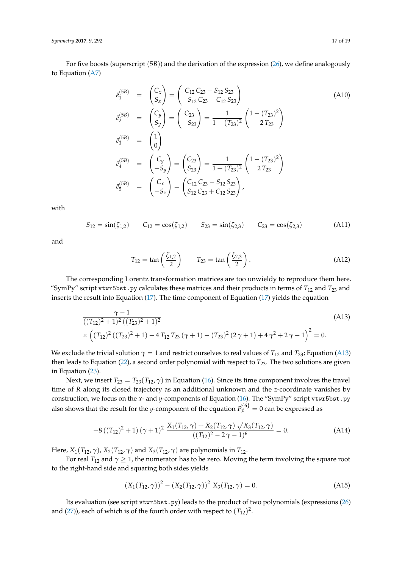For five boosts (superscript (5*B*)) and the derivation of the expression [\(26\)](#page-6-2), we define analogously to Equation [\(A7\)](#page-15-2)

$$
\begin{aligned}\n\hat{e}_1^{(5B)} &= \begin{pmatrix} C_x \\ S_x \end{pmatrix} = \begin{pmatrix} C_{12} C_{23} - S_{12} S_{23} \\ -S_{12} C_{23} - C_{12} S_{23} \end{pmatrix} \\
\hat{e}_2^{(5B)} &= \begin{pmatrix} C_y \\ S_y \end{pmatrix} = \begin{pmatrix} C_{23} \\ -S_{23} \end{pmatrix} = \frac{1}{1 + (T_{23})^2} \begin{pmatrix} 1 - (T_{23})^2 \\ -2 T_{23} \end{pmatrix} \\
\hat{e}_3^{(5B)} &= \begin{pmatrix} 1 \\ 0 \end{pmatrix} \\
\hat{e}_4^{(5B)} &= \begin{pmatrix} C_y \\ -S_y \end{pmatrix} = \begin{pmatrix} C_{23} \\ S_{23} \end{pmatrix} = \frac{1}{1 + (T_{23})^2} \begin{pmatrix} 1 - (T_{23})^2 \\ 2 T_{23} \end{pmatrix} \\
\hat{e}_5^{(5B)} &= \begin{pmatrix} C_x \\ -S_x \end{pmatrix} = \begin{pmatrix} C_{12} C_{23} - S_{12} S_{23} \\ S_{12} C_{23} + C_{12} S_{23} \end{pmatrix},\n\end{aligned}
$$
\n(AD)

with

$$
S_{12} = \sin(\zeta_{1,2}) \qquad C_{12} = \cos(\zeta_{1,2}) \qquad S_{23} = \sin(\zeta_{2,3}) \qquad C_{23} = \cos(\zeta_{2,3}) \tag{A11}
$$

and

$$
T_{12} = \tan\left(\frac{\zeta_{1,2}}{2}\right)
$$
  $T_{23} = \tan\left(\frac{\zeta_{2,3}}{2}\right)$ . (A12)

The corresponding Lorentz transformation matrices are too unwieldy to reproduce them here. "SymPy" script vtwr5bst.py calculates these matrices and their products in terms of *T*<sup>12</sup> and *T*<sup>23</sup> and inserts the result into Equation [\(17\)](#page-4-1). The time component of Equation [\(17\)](#page-4-1) yields the equation

<span id="page-16-0"></span>
$$
\frac{\gamma - 1}{((T_{12})^2 + 1)^2 ((T_{23})^2 + 1)^2}
$$
\n
$$
\times \left( (T_{12})^2 ((T_{23})^2 + 1) - 4 T_{12} T_{23} (\gamma + 1) - (T_{23})^2 (2 \gamma + 1) + 4 \gamma^2 + 2 \gamma - 1 \right)^2 = 0.
$$
\n(A13)

We exclude the trivial solution  $\gamma = 1$  and restrict ourselves to real values of  $T_{12}$  and  $T_{23}$ ; Equation [\(A13\)](#page-16-0) then leads to Equation [\(22\)](#page-5-2), a second order polynomial with respect to *T*<sub>23</sub>. The two solutions are given in Equation [\(23\)](#page-6-4).

Next, we insert  $T_{23} = T_{23}(T_{12}, \gamma)$  in Equation [\(16\)](#page-4-0). Since its time component involves the travel time of *R* along its closed trajectory as an additional unknown and the *z*-coordinate vanishes by construction, we focus on the *x*- and *y*-components of Equation [\(16\)](#page-4-0). The "SymPy" script vtwr5bst.py also shows that the result for the *y*-component of the equation  $\vec{P}_{F}^{\{6\}} = 0$  can be expressed as

$$
-8\left((T_{12})^2+1\right)(\gamma+1)^2\frac{X_1(T_{12},\gamma)+X_2(T_{12},\gamma)\sqrt{X_3(T_{12},\gamma)}}{((T_{12})^2-2\gamma-1)^6}=0.
$$
 (A14)

Here, *X*<sub>1</sub>( $T_{12}$ ,  $\gamma$ ), *X*<sub>2</sub>( $T_{12}$ ,  $\gamma$ ) and *X*<sub>3</sub>( $T_{12}$ ,  $\gamma$ ) are polynomials in  $T_{12}$ .

For real  $T_{12}$  and  $\gamma \geq 1$ , the numerator has to be zero. Moving the term involving the square root to the right-hand side and squaring both sides yields

$$
(X_1(T_{12}, \gamma))^2 - (X_2(T_{12}, \gamma))^2 X_3(T_{12}, \gamma) = 0.
$$
 (A15)

Its evaluation (see script vtwr5bst.py) leads to the product of two polynomials (expressions [\(26\)](#page-6-2) and  $(27)$ ), each of which is of the fourth order with respect to  $(T_{12})^2$ .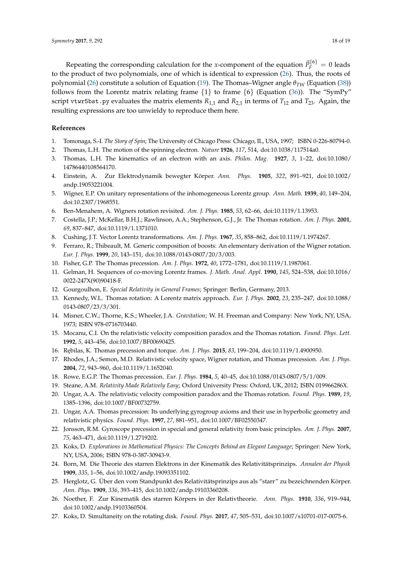Repeating the corresponding calculation for the *x*-component of the equation  $\vec{P}_F^{\{6\}} = 0$  leads to the product of two polynomials, one of which is identical to expression [\(26\)](#page-6-2). Thus, the roots of polynomial [\(26\)](#page-6-2) constitute a solution of Equation [\(19\)](#page-4-4). The Thomas–Wigner angle *θTW* (Equation [\(38\)](#page-11-0)) follows from the Lorentz matrix relating frame  $\{1\}$  to frame  $\{6\}$  (Equation [\(36\)](#page-10-2)). The "SymPy" script vtwr5bst.py evaluates the matrix elements  $R_{1,1}$  and  $R_{2,1}$  in terms of  $T_{12}$  and  $T_{23}$ . Again, the resulting expressions are too unwieldy to reproduce them here.

## **References**

- <span id="page-17-0"></span>1. Tomonaga, S.-I. *The Story of Spin*; The University of Chicago Press: Chicago, IL, USA, 1997; ISBN 0-226-80794-0.
- <span id="page-17-1"></span>2. Thomas, L.H. The motion of the spinning electron. *Nature* **1926**, *117*, 514, doi:10.1038/117514a0.
- <span id="page-17-2"></span>3. Thomas, L.H. The kinematics of an electron with an axis. *Philos. Mag.* **1927**, *3*, 1–22, doi:10.1080/ 14786440108564170.
- <span id="page-17-3"></span>4. Einstein, A. Zur Elektrodynamik bewegter Körper. *Ann. Phys.* **1905**, *322*, 891–921, doi:10.1002/ andp.19053221004.
- <span id="page-17-4"></span>5. Wigner, E.P. On unitary representations of the inhomogeneous Lorentz group. *Ann. Math.* **1939**, *40*, 149–204, doi:10.2307/1968551.
- 6. Ben-Menahem, A. Wigners rotation revisited. *Am. J. Phys.* **1985**, *53*, 62–66, doi:10.1119/1.13953.
- 7. Costella, J.P.; McKellar, B.H.J.; Rawlinson, A.A.; Stephenson, G.J., Jr. The Thomas rotation. *Am. J. Phys.* **2001**, *69*, 837–847, doi:10.1119/1.1371010.
- 8. Cushing, J.T. Vector Lorentz transformations. *Am. J. Phys.* **1967**, *35*, 858–862, doi:10.1119/1.1974267.
- 9. Ferraro, R.; Thibeault, M. Generic composition of boosts: An elementary derivation of the Wigner rotation. *Eur. J. Phys.* **1999**, *20*, 143–151, doi:10.1088/0143-0807/20/3/003.
- 10. Fisher, G.P. The Thomas precession. *Am. J. Phys.* **1972**, *40*, 1772–1781, doi:10.1119/1.1987061.
- 11. Gelman, H. Sequences of co-moving Lorentz frames. *J. Math. Anal. Appl.* **1990**, *145*, 524–538, doi:10.1016/ 0022-247X(90)90418-F.
- 12. Gourgoulhon, E. *Special Relativity in General Frames*; Springer: Berlin, Germany, 2013.
- 13. Kennedy, W.L. Thomas rotation: A Lorentz matrix approach. *Eur. J. Phys.* **2002**, *23*, 235–247, doi:10.1088/ 0143-0807/23/3/301.
- <span id="page-17-12"></span>14. Misner, C.W.; Thorne, K.S.; Wheeler, J.A. *Gravitation*; W. H. Freeman and Company: New York, NY, USA, 1973; ISBN 978-0716703440.
- 15. Mocanu, C.I. On the relativistic velocity composition paradox and the Thomas rotation. *Found. Phys. Lett.* **1992**, *5*, 443–456, doi:10.1007/BF00690425.
- 16. Rebilas, K. Thomas precession and torque. *Am.* J. *Phys.* **2015**, 83, 199–204, doi:10.1119/1.4900950.
- 17. Rhodes, J.A.; Semon, M.D. Relativistic velocity space, Wigner rotation, and Thomas precession. *Am. J. Phys.* **2004**, *72*, 943–960, doi:10.1119/1.1652040.
- 18. Rowe, E.G.P. The Thomas precession. *Eur. J. Phys.* **1984**, *5*, 40–45, doi:10.1088/0143-0807/5/1/009.
- <span id="page-17-13"></span>19. Steane, A.M. *Relativity Made Relatively Easy*; Oxford University Press: Oxford, UK, 2012; ISBN 019966286X.
- 20. Ungar, A.A. The relativistic velocity composition paradox and the Thomas rotation. *Found. Phys.* **1989**, *19*, 1385–1396, doi:10.1007/BF00732759.
- <span id="page-17-5"></span>21. Ungar, A.A. Thomas precession: Its underlying gyrogroup axioms and their use in hyperbolic geometry and relativistic physics. *Found. Phys.* **1997**, *27*, 881–951, doi:10.1007/BF02550347.
- <span id="page-17-6"></span>22. Jonsson, R.M. Gyroscope precession in special and general relativity from basic principles. *Am. J. Phys.* **2007**, *75*, 463–471, doi:10.1119/1.2719202.
- <span id="page-17-7"></span>23. Koks, D. *Explorations in Mathematical Physics: The Concepts Behind an Elegant Language*; Springer: New York, NY, USA, 2006; ISBN 978-0-387-30943-9.
- <span id="page-17-8"></span>24. Born, M. Die Theorie des starren Elektrons in der Kinematik des Relativitätsprinzips. *Annalen der Physik* **1909**, *335*, 1–56, doi:10.1002/andp.19093351102.
- <span id="page-17-9"></span>25. Herglotz, G. Über den vom Standpunkt des Relativitätsprinzips aus als "starr" zu bezeichnenden Körper. *Ann. Phys.* **1909**, *336*, 393–415, doi:10.1002/andp.19103360208.
- <span id="page-17-10"></span>26. Noether, F. Zur Kinematik des starren Körpers in der Relativtheorie. *Ann. Phys.* **1910**, *336*, 919–944, doi:10.1002/andp.19103360504.
- <span id="page-17-11"></span>27. Koks, D. Simultaneity on the rotating disk. *Found. Phys.* **2017**, *47*, 505–531, doi:10.1007/s10701-017-0075-6.